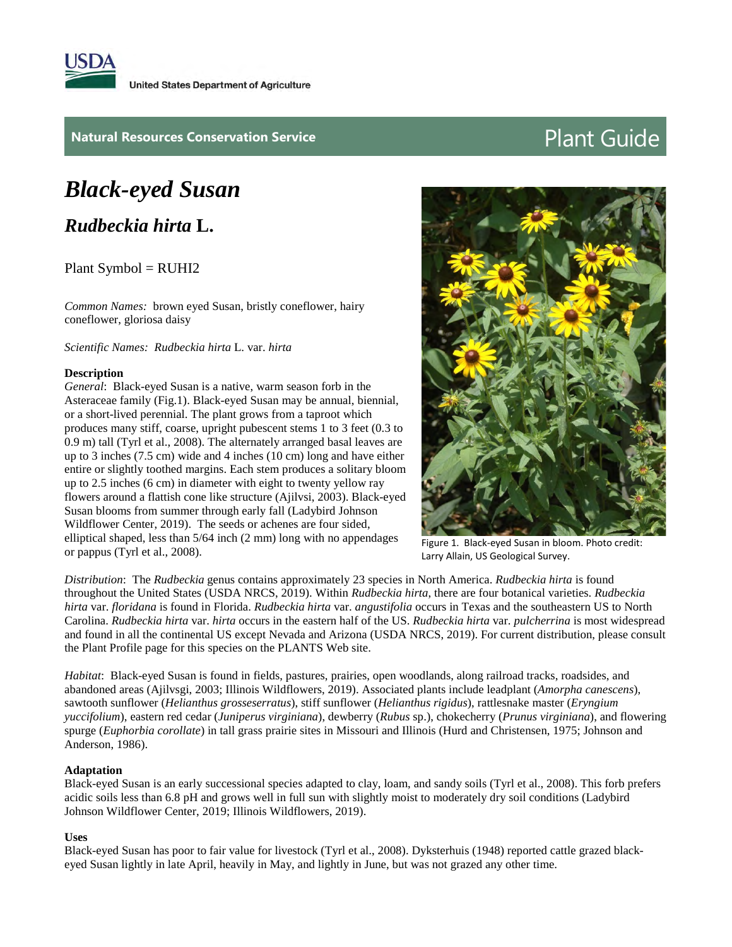

## **Natural Resources Conservation Service Plant Guide**

# *Black-eyed Susan*

*Rudbeckia hirta* **L.**

Plant Symbol = RUHI2

*Common Names:* brown eyed Susan, bristly coneflower, hairy coneflower, gloriosa daisy

*Scientific Names: Rudbeckia hirta* L. var. *hirta*

#### **Description**

*General*: Black-eyed Susan is a native, warm season forb in the Asteraceae family (Fig.1). Black-eyed Susan may be annual, biennial, or a short-lived perennial. The plant grows from a taproot which produces many stiff, coarse, upright pubescent stems 1 to 3 feet (0.3 to 0.9 m) tall (Tyrl et al., 2008). The alternately arranged basal leaves are up to 3 inches (7.5 cm) wide and 4 inches (10 cm) long and have either entire or slightly toothed margins. Each stem produces a solitary bloom up to 2.5 inches (6 cm) in diameter with eight to twenty yellow ray flowers around a flattish cone like structure (Ajilvsi, 2003). Black-eyed Susan blooms from summer through early fall (Ladybird Johnson Wildflower Center, 2019). The seeds or achenes are four sided, elliptical shaped, less than 5/64 inch (2 mm) long with no appendages or pappus (Tyrl et al., 2008).



Figure 1. Black-eyed Susan in bloom. Photo credit: Larry Allain, US Geological Survey.

*Distribution*: The *Rudbeckia* genus contains approximately 23 species in North America. *Rudbeckia hirta* is found throughout the United States (USDA NRCS, 2019). Within *Rudbeckia hirta*, there are four botanical varieties. *Rudbeckia hirta* var. *floridana* is found in Florida. *Rudbeckia hirta* var. *angustifolia* occurs in Texas and the southeastern US to North Carolina. *Rudbeckia hirta* var. *hirta* occurs in the eastern half of the US. *Rudbeckia hirta* var. *pulcherrina* is most widespread and found in all the continental US except Nevada and Arizona (USDA NRCS, 2019). For current distribution, please consult the Plant Profile page for this species on the PLANTS Web site.

*Habitat*: Black-eyed Susan is found in fields, pastures, prairies, open woodlands, along railroad tracks, roadsides, and abandoned areas (Ajilvsgi, 2003; Illinois Wildflowers, 2019). Associated plants include leadplant (*Amorpha canescens*), sawtooth sunflower (*Helianthus grosseserratus*), stiff sunflower (*Helianthus rigidus*), rattlesnake master (*Eryngium yuccifolium*), eastern red cedar (*Juniperus virginiana*), dewberry (*Rubus* sp.), chokecherry (*Prunus virginiana*), and flowering spurge (*Euphorbia corollate*) in tall grass prairie sites in Missouri and Illinois (Hurd and Christensen, 1975; Johnson and Anderson, 1986).

#### **Adaptation**

Black-eyed Susan is an early successional species adapted to clay, loam, and sandy soils (Tyrl et al., 2008). This forb prefers acidic soils less than 6.8 pH and grows well in full sun with slightly moist to moderately dry soil conditions (Ladybird Johnson Wildflower Center, 2019; Illinois Wildflowers, 2019).

#### **Uses**

Black-eyed Susan has poor to fair value for livestock (Tyrl et al., 2008). Dyksterhuis (1948) reported cattle grazed blackeyed Susan lightly in late April, heavily in May, and lightly in June, but was not grazed any other time.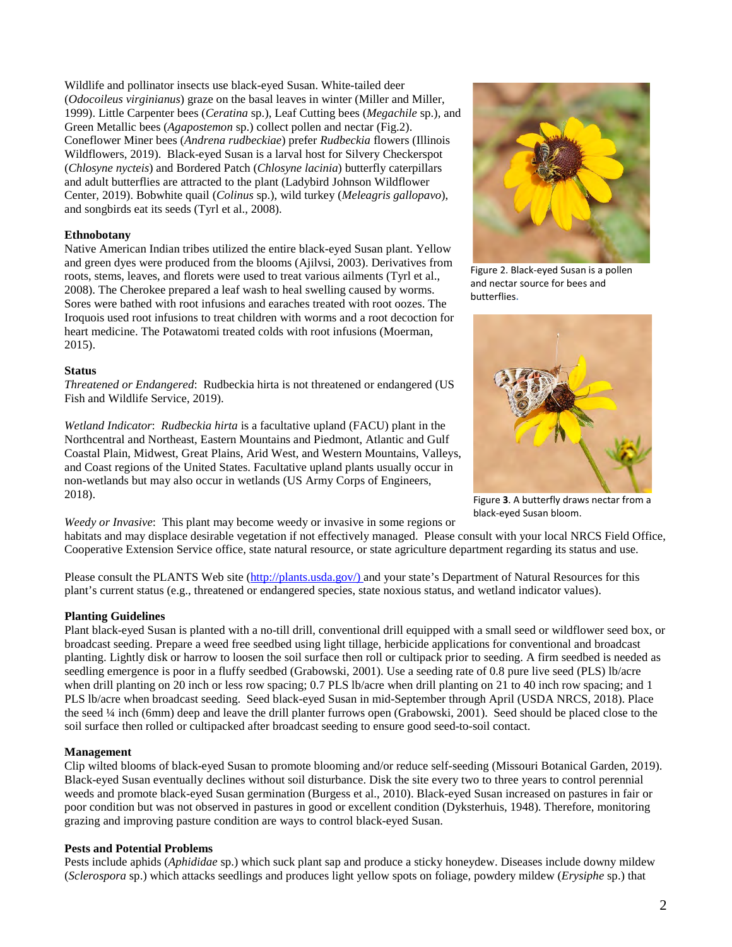Wildlife and pollinator insects use black-eyed Susan. White-tailed deer (*Odocoileus virginianus*) graze on the basal leaves in winter (Miller and Miller, 1999). Little Carpenter bees (*Ceratina* sp.), Leaf Cutting bees (*Megachile* sp.), and Green Metallic bees (*Agapostemon* sp.) collect pollen and nectar (Fig.2). Coneflower Miner bees (*Andrena rudbeckiae*) prefer *Rudbeckia* flowers (Illinois Wildflowers, 2019). Black-eyed Susan is a larval host for Silvery Checkerspot (*Chlosyne nycteis*) and Bordered Patch (*Chlosyne lacinia*) butterfly caterpillars and adult butterflies are attracted to the plant (Ladybird Johnson Wildflower Center, 2019). Bobwhite quail (*Colinus* sp.), wild turkey (*Meleagris gallopavo*), and songbirds eat its seeds (Tyrl et al., 2008).

#### **Ethnobotany**

Native American Indian tribes utilized the entire black-eyed Susan plant. Yellow and green dyes were produced from the blooms (Ajilvsi, 2003). Derivatives from roots, stems, leaves, and florets were used to treat various ailments (Tyrl et al., 2008). The Cherokee prepared a leaf wash to heal swelling caused by worms. Sores were bathed with root infusions and earaches treated with root oozes. The Iroquois used root infusions to treat children with worms and a root decoction for heart medicine. The Potawatomi treated colds with root infusions (Moerman, 2015).

### **Status**

*Threatened or Endangered*: Rudbeckia hirta is not threatened or endangered (US Fish and Wildlife Service, 2019).

*Wetland Indicator*: *Rudbeckia hirta* is a facultative upland (FACU) plant in the Northcentral and Northeast, Eastern Mountains and Piedmont, Atlantic and Gulf Coastal Plain, Midwest, Great Plains, Arid West, and Western Mountains, Valleys, and Coast regions of the United States. Facultative upland plants usually occur in non-wetlands but may also occur in wetlands (US Army Corps of Engineers, 2018).



Figure 2. Black-eyed Susan is a pollen and nectar source for bees and butterflies**.**



Figure **3**. A butterfly draws nectar from a black-eyed Susan bloom.

*Weedy or Invasive*: This plant may become weedy or invasive in some regions or habitats and may displace desirable vegetation if not effectively managed. Please consult with your local NRCS Field Office, Cooperative Extension Service office, state natural resource, or state agriculture department regarding its status and use.

Please consult the PLANTS Web site [\(http://plants.usda.gov/\)](http://plants.usda.gov/) and your state's Department of Natural Resources for this plant's current status (e.g., threatened or endangered species, state noxious status, and wetland indicator values).

#### **Planting Guidelines**

Plant black-eyed Susan is planted with a no-till drill, conventional drill equipped with a small seed or wildflower seed box, or broadcast seeding. Prepare a weed free seedbed using light tillage, herbicide applications for conventional and broadcast planting. Lightly disk or harrow to loosen the soil surface then roll or cultipack prior to seeding. A firm seedbed is needed as seedling emergence is poor in a fluffy seedbed (Grabowski, 2001). Use a seeding rate of 0.8 pure live seed (PLS) lb/acre when drill planting on 20 inch or less row spacing; 0.7 PLS lb/acre when drill planting on 21 to 40 inch row spacing; and 1 PLS lb/acre when broadcast seeding. Seed black-eyed Susan in mid-September through April (USDA NRCS, 2018). Place the seed ¼ inch (6mm) deep and leave the drill planter furrows open (Grabowski, 2001). Seed should be placed close to the soil surface then rolled or cultipacked after broadcast seeding to ensure good seed-to-soil contact.

#### **Management**

Clip wilted blooms of black-eyed Susan to promote blooming and/or reduce self-seeding (Missouri Botanical Garden, 2019). Black-eyed Susan eventually declines without soil disturbance. Disk the site every two to three years to control perennial weeds and promote black-eyed Susan germination (Burgess et al., 2010). Black-eyed Susan increased on pastures in fair or poor condition but was not observed in pastures in good or excellent condition (Dyksterhuis, 1948). Therefore, monitoring grazing and improving pasture condition are ways to control black-eyed Susan.

#### **Pests and Potential Problems**

Pests include aphids (*Aphididae* sp.) which suck plant sap and produce a sticky honeydew. Diseases include downy mildew (*Sclerospora* sp.) which attacks seedlings and produces light yellow spots on foliage, powdery mildew (*Erysiphe* sp.) that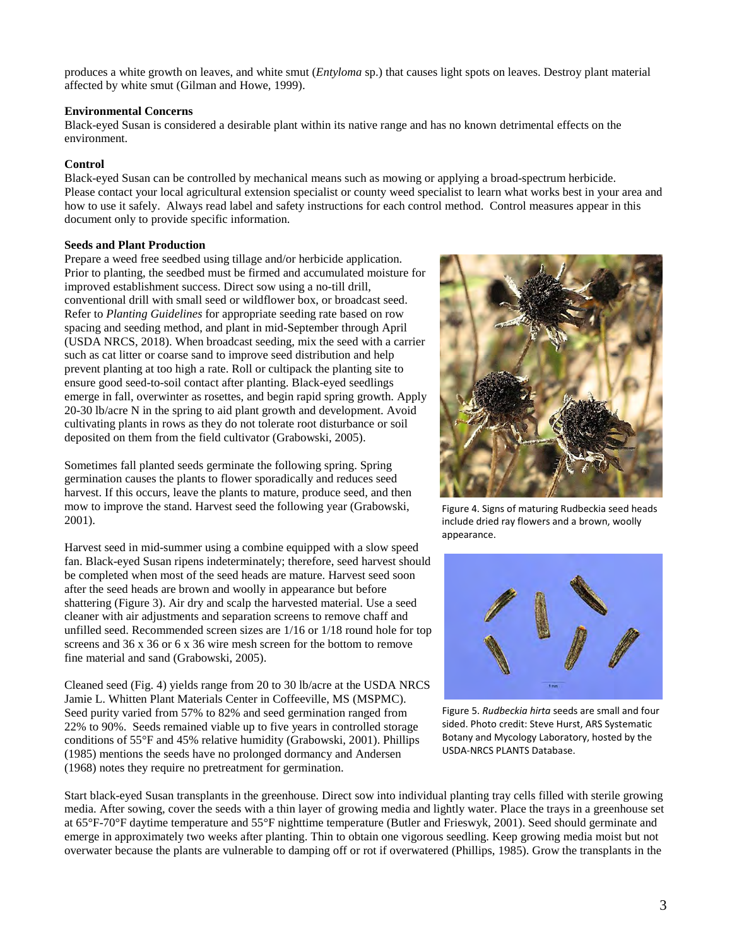produces a white growth on leaves, and white smut (*Entyloma* sp.) that causes light spots on leaves. Destroy plant material affected by white smut (Gilman and Howe, 1999).

#### **Environmental Concerns**

Black-eyed Susan is considered a desirable plant within its native range and has no known detrimental effects on the environment.

#### **Control**

Black-eyed Susan can be controlled by mechanical means such as mowing or applying a broad-spectrum herbicide. Please contact your local agricultural extension specialist or county weed specialist to learn what works best in your area and how to use it safely. Always read label and safety instructions for each control method. Control measures appear in this document only to provide specific information.

#### **Seeds and Plant Production**

Prepare a weed free seedbed using tillage and/or herbicide application. Prior to planting, the seedbed must be firmed and accumulated moisture for improved establishment success. Direct sow using a no-till drill, conventional drill with small seed or wildflower box, or broadcast seed. Refer to *Planting Guidelines* for appropriate seeding rate based on row spacing and seeding method, and plant in mid-September through April (USDA NRCS, 2018). When broadcast seeding, mix the seed with a carrier such as cat litter or coarse sand to improve seed distribution and help prevent planting at too high a rate. Roll or cultipack the planting site to ensure good seed-to-soil contact after planting. Black-eyed seedlings emerge in fall, overwinter as rosettes, and begin rapid spring growth. Apply 20-30 lb/acre N in the spring to aid plant growth and development. Avoid cultivating plants in rows as they do not tolerate root disturbance or soil deposited on them from the field cultivator (Grabowski, 2005).

Sometimes fall planted seeds germinate the following spring. Spring germination causes the plants to flower sporadically and reduces seed harvest. If this occurs, leave the plants to mature, produce seed, and then mow to improve the stand. Harvest seed the following year (Grabowski, 2001).

Harvest seed in mid-summer using a combine equipped with a slow speed fan. Black-eyed Susan ripens indeterminately; therefore, seed harvest should be completed when most of the seed heads are mature. Harvest seed soon after the seed heads are brown and woolly in appearance but before shattering (Figure 3). Air dry and scalp the harvested material. Use a seed cleaner with air adjustments and separation screens to remove chaff and unfilled seed. Recommended screen sizes are 1/16 or 1/18 round hole for top screens and 36 x 36 or 6 x 36 wire mesh screen for the bottom to remove fine material and sand (Grabowski, 2005).

Cleaned seed (Fig. 4) yields range from 20 to 30 lb/acre at the USDA NRCS Jamie L. Whitten Plant Materials Center in Coffeeville, MS (MSPMC). Seed purity varied from 57% to 82% and seed germination ranged from 22% to 90%. Seeds remained viable up to five years in controlled storage conditions of 55°F and 45% relative humidity (Grabowski, 2001). Phillips (1985) mentions the seeds have no prolonged dormancy and Andersen (1968) notes they require no pretreatment for germination.



Figure 4. Signs of maturing Rudbeckia seed heads include dried ray flowers and a brown, woolly appearance.



Figure 5. *Rudbeckia hirta* seeds are small and four sided. Photo credit: Steve Hurst, ARS Systematic Botany and Mycology Laboratory, hosted by the USDA-NRCS PLANTS Database.

Start black-eyed Susan transplants in the greenhouse. Direct sow into individual planting tray cells filled with sterile growing media. After sowing, cover the seeds with a thin layer of growing media and lightly water. Place the trays in a greenhouse set at 65°F-70°F daytime temperature and 55°F nighttime temperature (Butler and Frieswyk, 2001). Seed should germinate and emerge in approximately two weeks after planting. Thin to obtain one vigorous seedling. Keep growing media moist but not overwater because the plants are vulnerable to damping off or rot if overwatered (Phillips, 1985). Grow the transplants in the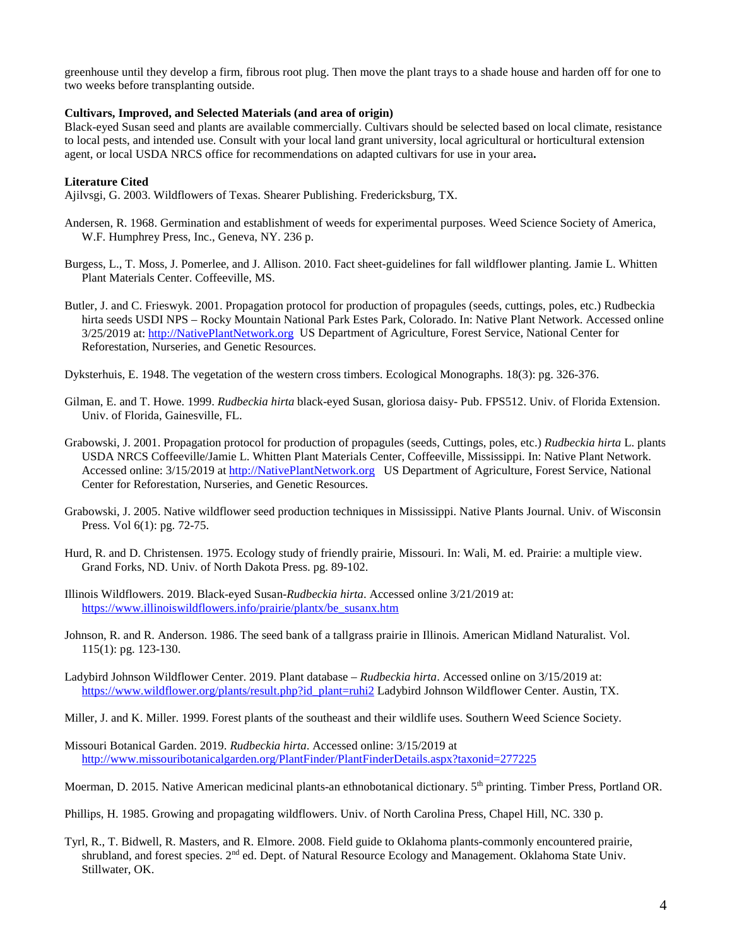greenhouse until they develop a firm, fibrous root plug. Then move the plant trays to a shade house and harden off for one to two weeks before transplanting outside.

#### **Cultivars, Improved, and Selected Materials (and area of origin)**

Black-eyed Susan seed and plants are available commercially. Cultivars should be selected based on local climate, resistance to local pests, and intended use. Consult with your local land grant university, local agricultural or horticultural extension agent, or local USDA NRCS office for recommendations on adapted cultivars for use in your area**.** 

#### **Literature Cited**

Ajilvsgi, G. 2003. Wildflowers of Texas. Shearer Publishing. Fredericksburg, TX.

- Andersen, R. 1968. Germination and establishment of weeds for experimental purposes. Weed Science Society of America, W.F. Humphrey Press, Inc., Geneva, NY. 236 p.
- Burgess, L., T. Moss, J. Pomerlee, and J. Allison. 2010. Fact sheet-guidelines for fall wildflower planting. Jamie L. Whitten Plant Materials Center. Coffeeville, MS.
- Butler, J. and C. Frieswyk. 2001. Propagation protocol for production of propagules (seeds, cuttings, poles, etc.) Rudbeckia hirta seeds USDI NPS – Rocky Mountain National Park Estes Park, Colorado. In: Native Plant Network. Accessed online 3/25/2019 at: [http://NativePlantNetwork.org](http://nativeplantnetwork.org/) US Department of Agriculture, Forest Service, National Center for Reforestation, Nurseries, and Genetic Resources.

Dyksterhuis, E. 1948. The vegetation of the western cross timbers. Ecological Monographs. 18(3): pg. 326-376.

- Gilman, E. and T. Howe. 1999. *Rudbeckia hirta* black-eyed Susan, gloriosa daisy- Pub. FPS512. Univ. of Florida Extension. Univ. of Florida, Gainesville, FL.
- Grabowski, J. 2001. Propagation protocol for production of propagules (seeds, Cuttings, poles, etc.) *Rudbeckia hirta* L. plants USDA NRCS Coffeeville/Jamie L. Whitten Plant Materials Center, Coffeeville, Mississippi. In: Native Plant Network. Accessed online: 3/15/2019 a[t http://NativePlantNetwork.org](http://nativeplantnetwork.org/) US Department of Agriculture, Forest Service, National Center for Reforestation, Nurseries, and Genetic Resources.
- Grabowski, J. 2005. Native wildflower seed production techniques in Mississippi. Native Plants Journal. Univ. of Wisconsin Press. Vol 6(1): pg. 72-75.
- Hurd, R. and D. Christensen. 1975. Ecology study of friendly prairie, Missouri. In: Wali, M. ed. Prairie: a multiple view. Grand Forks, ND. Univ. of North Dakota Press. pg. 89-102.
- Illinois Wildflowers. 2019. Black-eyed Susan-*Rudbeckia hirta*. Accessed online 3/21/2019 at: [https://www.illinoiswildflowers.info/prairie/plantx/be\\_susanx.htm](https://www.illinoiswildflowers.info/prairie/plantx/be_susanx.htm)
- Johnson, R. and R. Anderson. 1986. The seed bank of a tallgrass prairie in Illinois. American Midland Naturalist. Vol. 115(1): pg. 123-130.
- Ladybird Johnson Wildflower Center. 2019. Plant database *Rudbeckia hirta*. Accessed online on 3/15/2019 at: [https://www.wildflower.org/plants/result.php?id\\_plant=ruhi2](https://www.wildflower.org/plants/result.php?id_plant=ruhi2) Ladybird Johnson Wildflower Center. Austin, TX.
- Miller, J. and K. Miller. 1999. Forest plants of the southeast and their wildlife uses. Southern Weed Science Society.

Missouri Botanical Garden. 2019. *Rudbeckia hirta*. Accessed online: 3/15/2019 at <http://www.missouribotanicalgarden.org/PlantFinder/PlantFinderDetails.aspx?taxonid=277225>

Moerman, D. 2015. Native American medicinal plants-an ethnobotanical dictionary. 5th printing. Timber Press, Portland OR.

Phillips, H. 1985. Growing and propagating wildflowers. Univ. of North Carolina Press, Chapel Hill, NC. 330 p.

Tyrl, R., T. Bidwell, R. Masters, and R. Elmore. 2008. Field guide to Oklahoma plants-commonly encountered prairie, shrubland, and forest species. 2<sup>nd</sup> ed. Dept. of Natural Resource Ecology and Management. Oklahoma State Univ. Stillwater, OK.